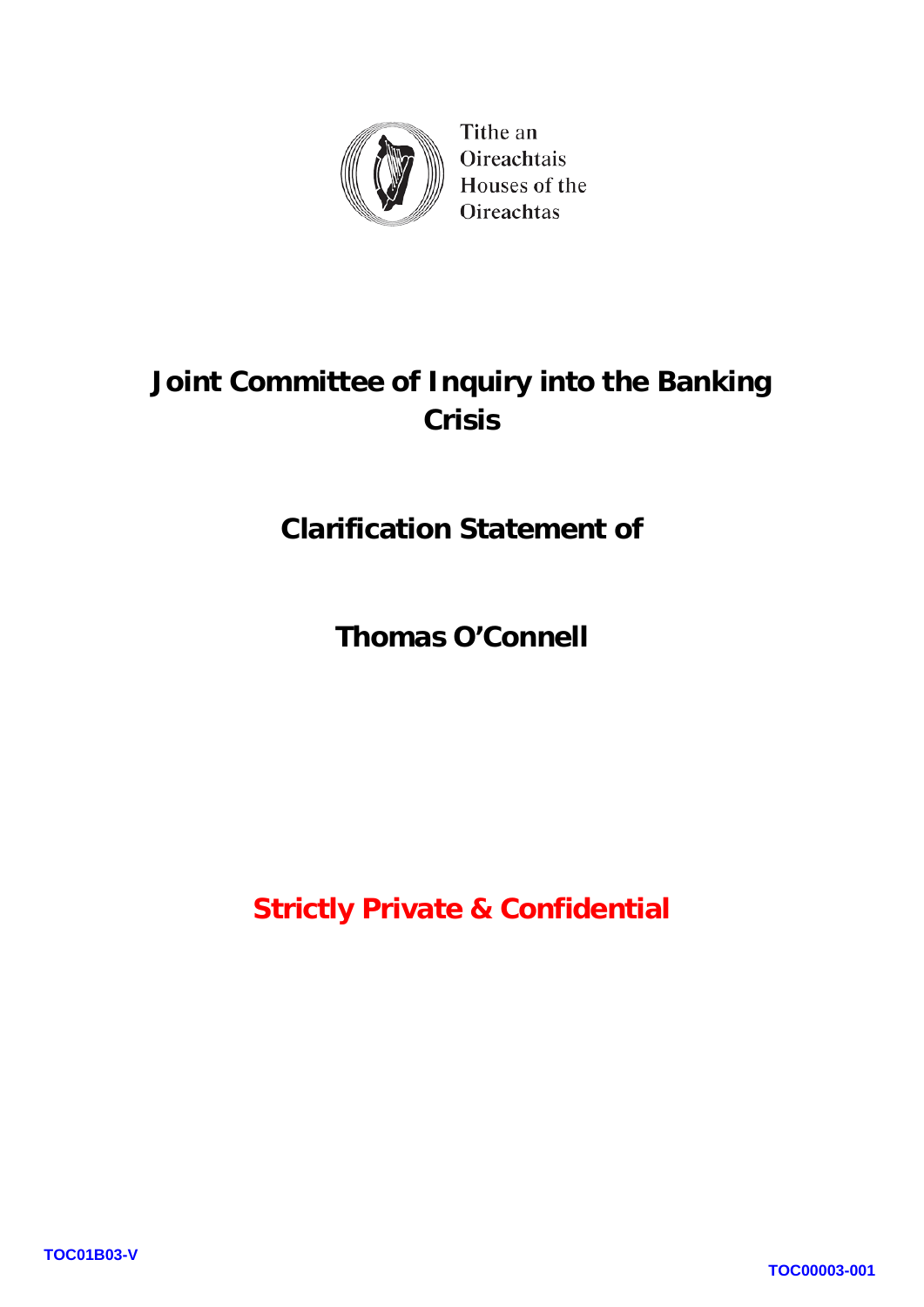

Tithe an Oireachtais Houses of the Oireachtas

## **Joint Committee of Inquiry into the Banking Crisis**

**Clarification Statement of**

**Thomas O'Connell**

**Strictly Private & Confidential**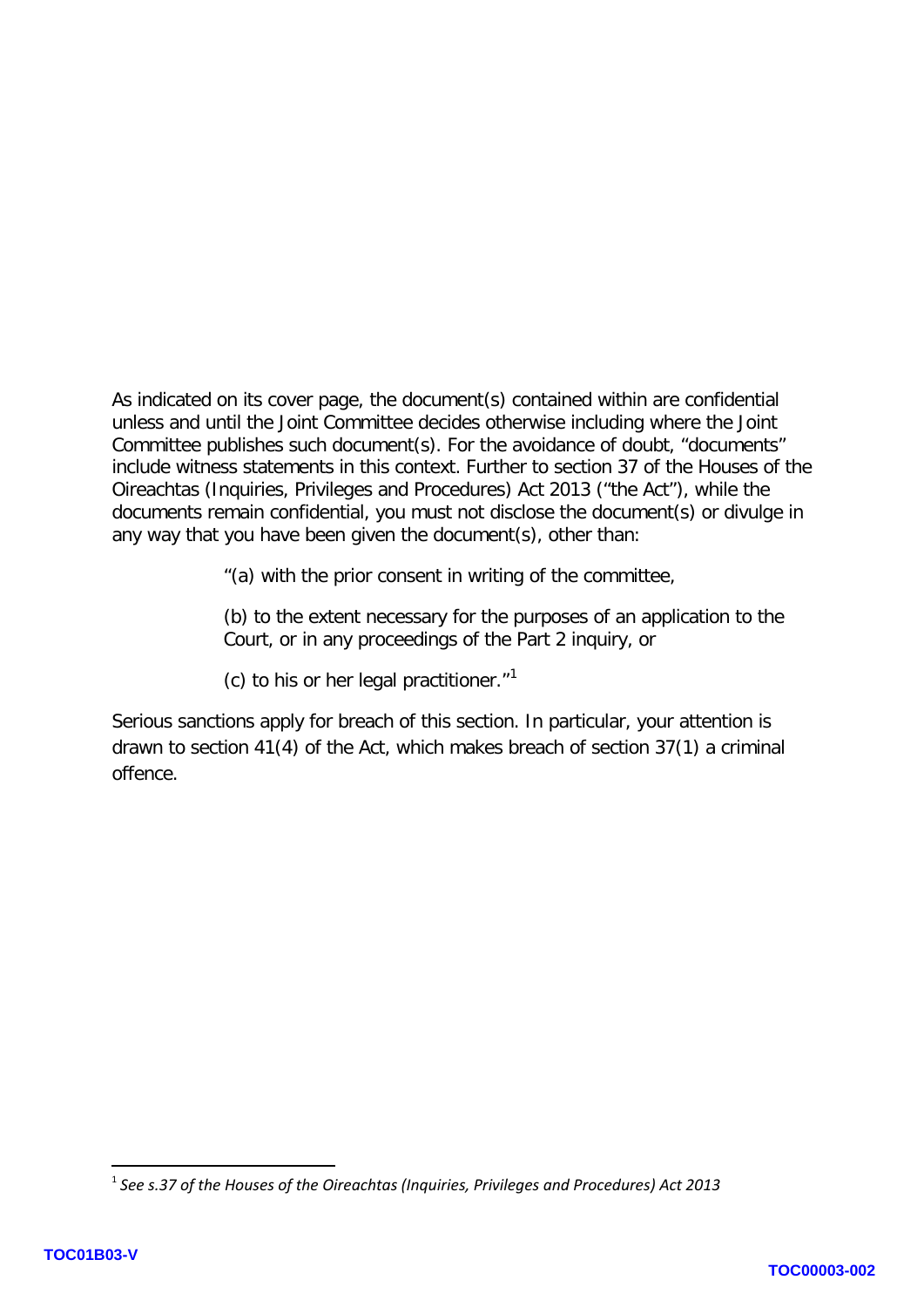As indicated on its cover page, the document(s) contained within are confidential unless and until the Joint Committee decides otherwise including where the Joint Committee publishes such document(s). For the avoidance of doubt, "documents" include witness statements in this context. Further to section 37 of the Houses of the Oireachtas (Inquiries, Privileges and Procedures) Act 2013 ("the Act"), while the documents remain confidential, you must not disclose the document(s) or divulge in any way that you have been given the document(s), other than:

"(a) with the prior consent in writing of the committee,

(b) to the extent necessary for the purposes of an application to the Court, or in any proceedings of the Part 2 inquiry, or

(c) to his or her legal practitioner. $1$ <sup>1</sup>

Serious sanctions apply for breach of this section. In particular, your attention is drawn to section 41(4) of the Act, which makes breach of section 37(1) a criminal offence.

**.** 

<span id="page-1-0"></span><sup>1</sup> *See s.37 of the Houses of the Oireachtas (Inquiries, Privileges and Procedures) Act 2013*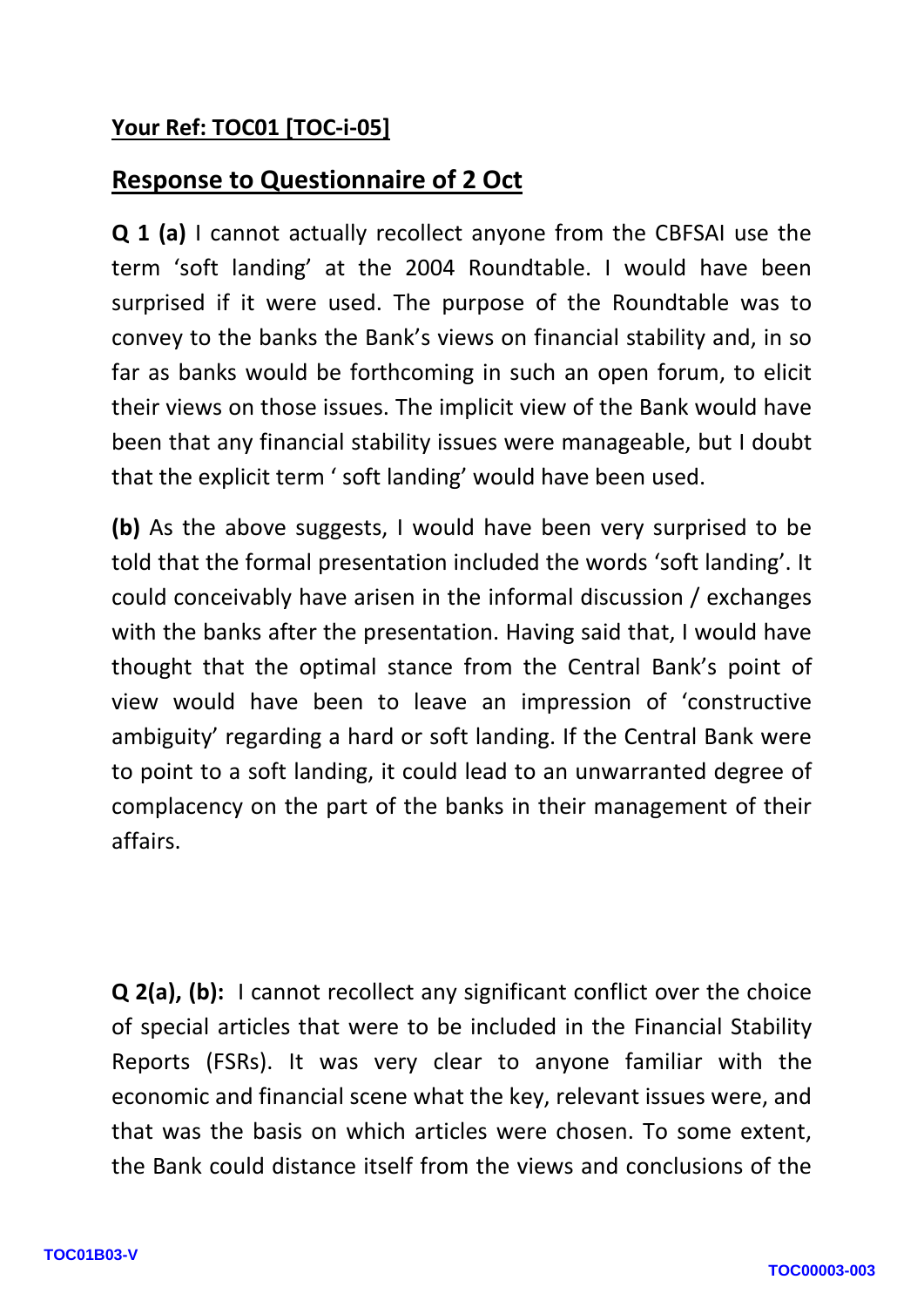## **Your Ref: TOC01 [TOC-i-05]**

## **Response to Questionnaire of 2 Oct**

**Q 1 (a)** I cannot actually recollect anyone from the CBFSAI use the term 'soft landing' at the 2004 Roundtable. I would have been surprised if it were used. The purpose of the Roundtable was to convey to the banks the Bank's views on financial stability and, in so far as banks would be forthcoming in such an open forum, to elicit their views on those issues. The implicit view of the Bank would have been that any financial stability issues were manageable, but I doubt that the explicit term ' soft landing' would have been used.

**(b)** As the above suggests, I would have been very surprised to be told that the formal presentation included the words 'soft landing'. It could conceivably have arisen in the informal discussion / exchanges with the banks after the presentation. Having said that, I would have thought that the optimal stance from the Central Bank's point of view would have been to leave an impression of 'constructive ambiguity' regarding a hard or soft landing. If the Central Bank were to point to a soft landing, it could lead to an unwarranted degree of complacency on the part of the banks in their management of their affairs.

**Q 2(a), (b):** I cannot recollect any significant conflict over the choice of special articles that were to be included in the Financial Stability Reports (FSRs). It was very clear to anyone familiar with the economic and financial scene what the key, relevant issues were, and that was the basis on which articles were chosen. To some extent, the Bank could distance itself from the views and conclusions of the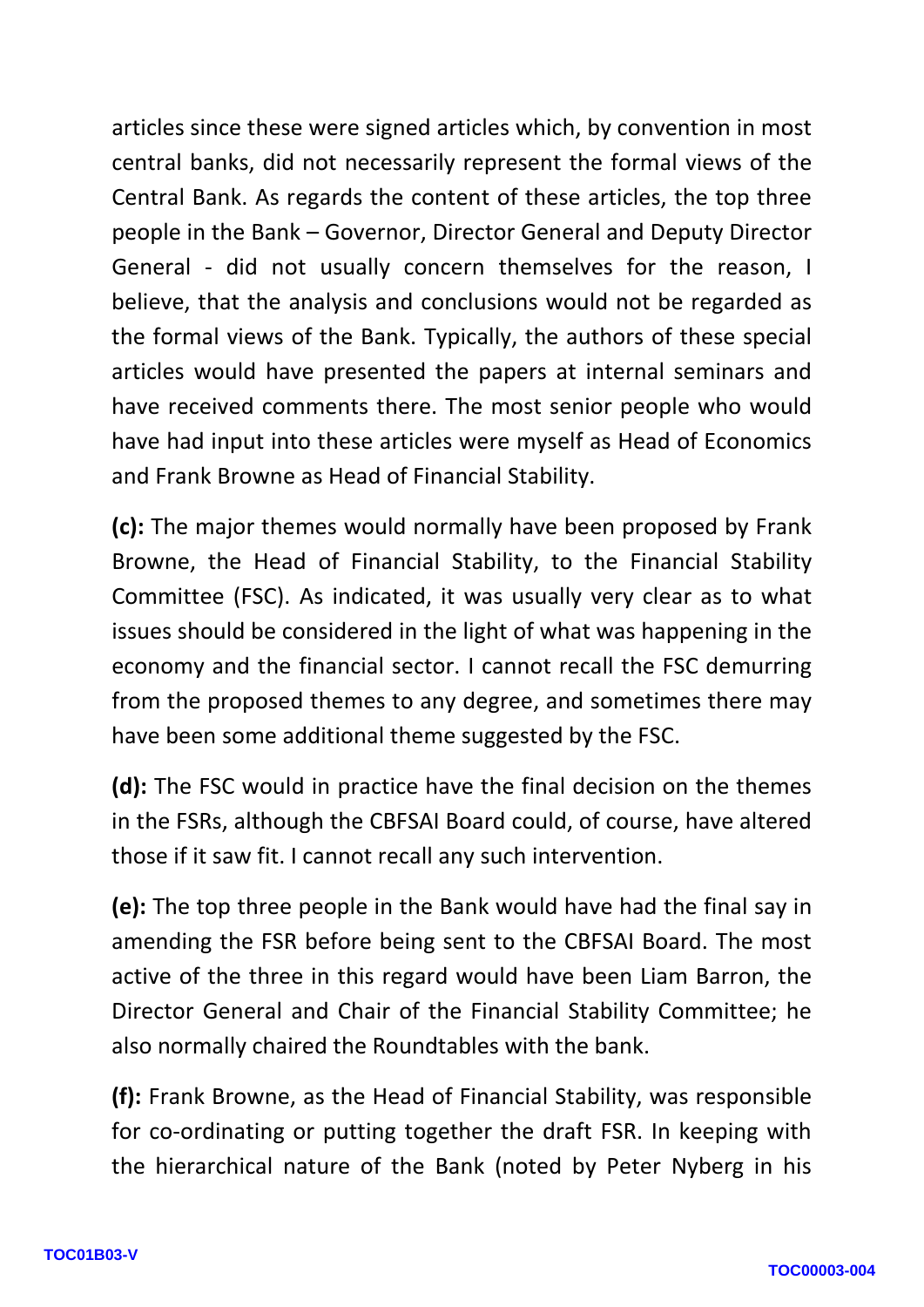articles since these were signed articles which, by convention in most central banks, did not necessarily represent the formal views of the Central Bank. As regards the content of these articles, the top three people in the Bank – Governor, Director General and Deputy Director General - did not usually concern themselves for the reason, I believe, that the analysis and conclusions would not be regarded as the formal views of the Bank. Typically, the authors of these special articles would have presented the papers at internal seminars and have received comments there. The most senior people who would have had input into these articles were myself as Head of Economics and Frank Browne as Head of Financial Stability.

**(c):** The major themes would normally have been proposed by Frank Browne, the Head of Financial Stability, to the Financial Stability Committee (FSC). As indicated, it was usually very clear as to what issues should be considered in the light of what was happening in the economy and the financial sector. I cannot recall the FSC demurring from the proposed themes to any degree, and sometimes there may have been some additional theme suggested by the FSC.

**(d):** The FSC would in practice have the final decision on the themes in the FSRs, although the CBFSAI Board could, of course, have altered those if it saw fit. I cannot recall any such intervention.

**(e):** The top three people in the Bank would have had the final say in amending the FSR before being sent to the CBFSAI Board. The most active of the three in this regard would have been Liam Barron, the Director General and Chair of the Financial Stability Committee; he also normally chaired the Roundtables with the bank.

**(f):** Frank Browne, as the Head of Financial Stability, was responsible for co-ordinating or putting together the draft FSR. In keeping with the hierarchical nature of the Bank (noted by Peter Nyberg in his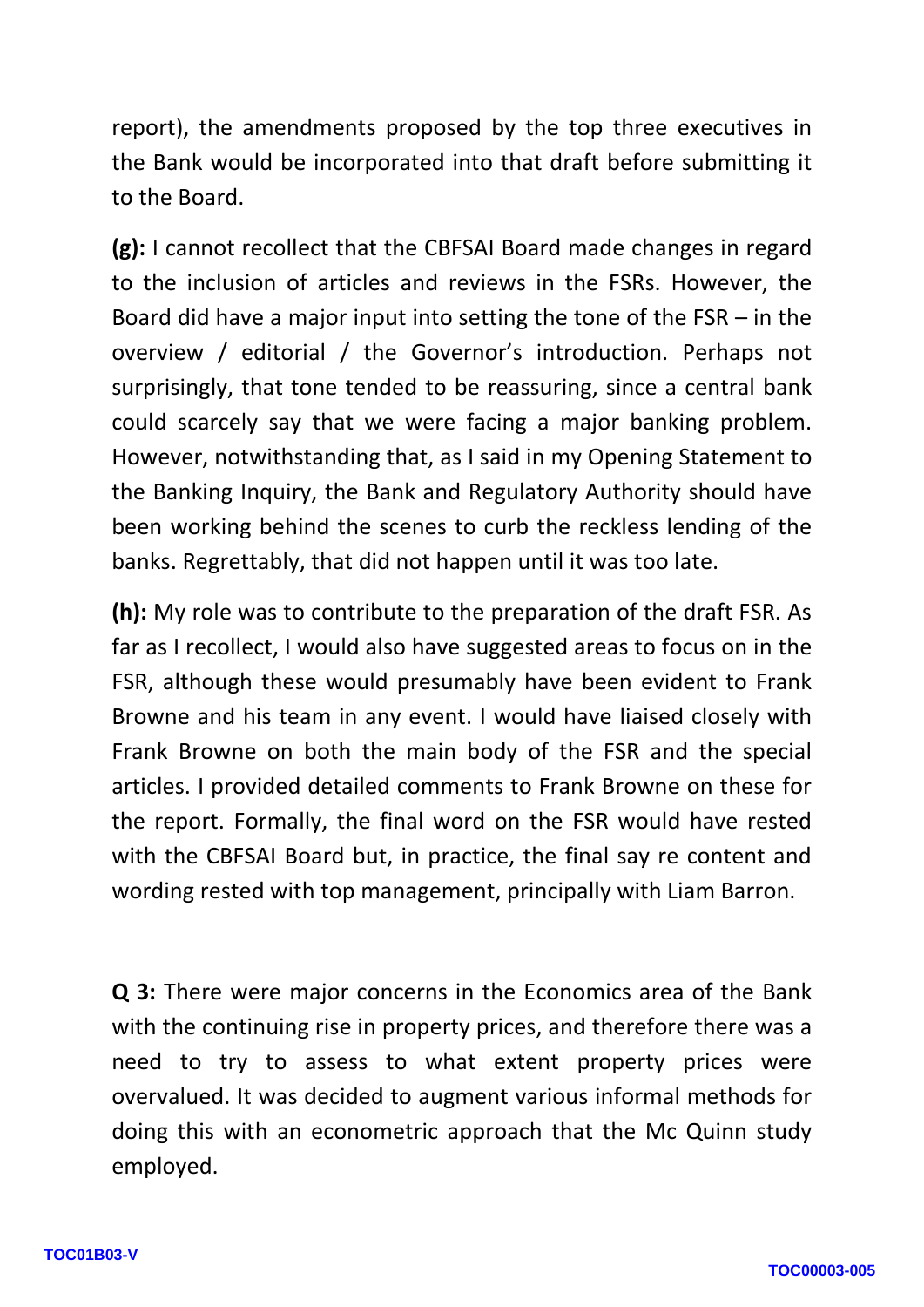report), the amendments proposed by the top three executives in the Bank would be incorporated into that draft before submitting it to the Board.

**(g):** I cannot recollect that the CBFSAI Board made changes in regard to the inclusion of articles and reviews in the FSRs. However, the Board did have a major input into setting the tone of the FSR – in the overview / editorial / the Governor's introduction. Perhaps not surprisingly, that tone tended to be reassuring, since a central bank could scarcely say that we were facing a major banking problem. However, notwithstanding that, as I said in my Opening Statement to the Banking Inquiry, the Bank and Regulatory Authority should have been working behind the scenes to curb the reckless lending of the banks. Regrettably, that did not happen until it was too late.

**(h):** My role was to contribute to the preparation of the draft FSR. As far as I recollect, I would also have suggested areas to focus on in the FSR, although these would presumably have been evident to Frank Browne and his team in any event. I would have liaised closely with Frank Browne on both the main body of the FSR and the special articles. I provided detailed comments to Frank Browne on these for the report. Formally, the final word on the FSR would have rested with the CBFSAI Board but, in practice, the final say re content and wording rested with top management, principally with Liam Barron.

**Q 3:** There were major concerns in the Economics area of the Bank with the continuing rise in property prices, and therefore there was a need to try to assess to what extent property prices were overvalued. It was decided to augment various informal methods for doing this with an econometric approach that the Mc Quinn study employed.